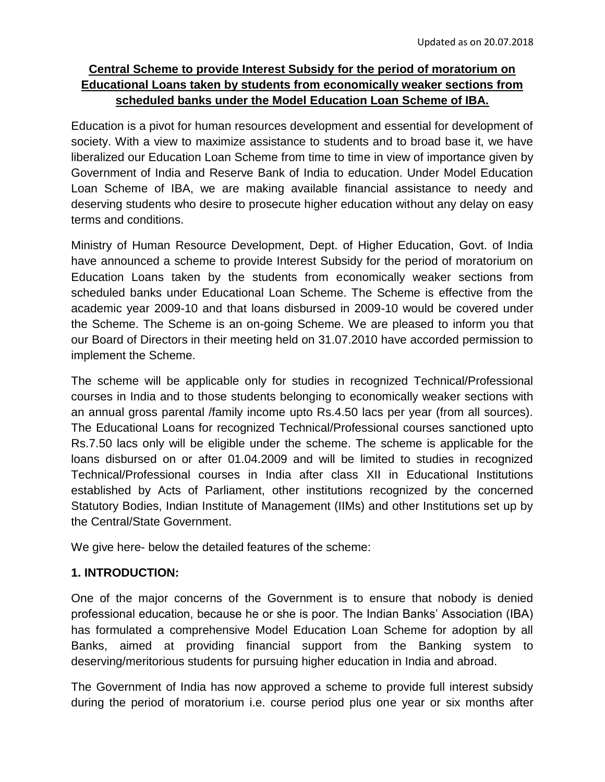# **Central Scheme to provide Interest Subsidy for the period of moratorium on Educational Loans taken by students from economically weaker sections from scheduled banks under the Model Education Loan Scheme of IBA.**

Education is a pivot for human resources development and essential for development of society. With a view to maximize assistance to students and to broad base it, we have liberalized our Education Loan Scheme from time to time in view of importance given by Government of India and Reserve Bank of India to education. Under Model Education Loan Scheme of IBA, we are making available financial assistance to needy and deserving students who desire to prosecute higher education without any delay on easy terms and conditions.

Ministry of Human Resource Development, Dept. of Higher Education, Govt. of India have announced a scheme to provide Interest Subsidy for the period of moratorium on Education Loans taken by the students from economically weaker sections from scheduled banks under Educational Loan Scheme. The Scheme is effective from the academic year 2009-10 and that loans disbursed in 2009-10 would be covered under the Scheme. The Scheme is an on-going Scheme. We are pleased to inform you that our Board of Directors in their meeting held on 31.07.2010 have accorded permission to implement the Scheme.

The scheme will be applicable only for studies in recognized Technical/Professional courses in India and to those students belonging to economically weaker sections with an annual gross parental /family income upto Rs.4.50 lacs per year (from all sources). The Educational Loans for recognized Technical/Professional courses sanctioned upto Rs.7.50 lacs only will be eligible under the scheme. The scheme is applicable for the loans disbursed on or after 01.04.2009 and will be limited to studies in recognized Technical/Professional courses in India after class XII in Educational Institutions established by Acts of Parliament, other institutions recognized by the concerned Statutory Bodies, Indian Institute of Management (IIMs) and other Institutions set up by the Central/State Government.

We give here- below the detailed features of the scheme:

## **1. INTRODUCTION:**

One of the major concerns of the Government is to ensure that nobody is denied professional education, because he or she is poor. The Indian Banks' Association (IBA) has formulated a comprehensive Model Education Loan Scheme for adoption by all Banks, aimed at providing financial support from the Banking system to deserving/meritorious students for pursuing higher education in India and abroad.

The Government of India has now approved a scheme to provide full interest subsidy during the period of moratorium i.e. course period plus one year or six months after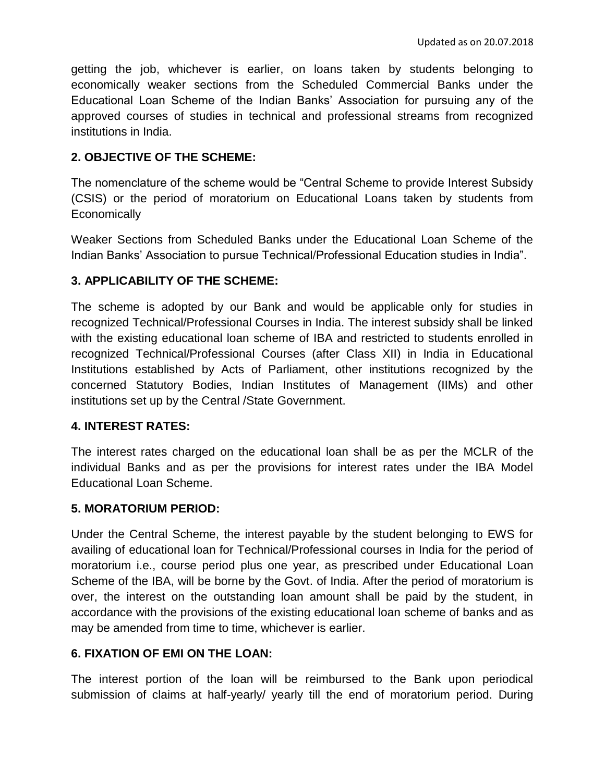getting the job, whichever is earlier, on loans taken by students belonging to economically weaker sections from the Scheduled Commercial Banks under the Educational Loan Scheme of the Indian Banks' Association for pursuing any of the approved courses of studies in technical and professional streams from recognized institutions in India.

#### **2. OBJECTIVE OF THE SCHEME:**

The nomenclature of the scheme would be "Central Scheme to provide Interest Subsidy (CSIS) or the period of moratorium on Educational Loans taken by students from **Economically** 

Weaker Sections from Scheduled Banks under the Educational Loan Scheme of the Indian Banks' Association to pursue Technical/Professional Education studies in India".

#### **3. APPLICABILITY OF THE SCHEME:**

The scheme is adopted by our Bank and would be applicable only for studies in recognized Technical/Professional Courses in India. The interest subsidy shall be linked with the existing educational loan scheme of IBA and restricted to students enrolled in recognized Technical/Professional Courses (after Class XII) in India in Educational Institutions established by Acts of Parliament, other institutions recognized by the concerned Statutory Bodies, Indian Institutes of Management (IIMs) and other institutions set up by the Central /State Government.

#### **4. INTEREST RATES:**

The interest rates charged on the educational loan shall be as per the MCLR of the individual Banks and as per the provisions for interest rates under the IBA Model Educational Loan Scheme.

#### **5. MORATORIUM PERIOD:**

Under the Central Scheme, the interest payable by the student belonging to EWS for availing of educational loan for Technical/Professional courses in India for the period of moratorium i.e., course period plus one year, as prescribed under Educational Loan Scheme of the IBA, will be borne by the Govt. of India. After the period of moratorium is over, the interest on the outstanding loan amount shall be paid by the student, in accordance with the provisions of the existing educational loan scheme of banks and as may be amended from time to time, whichever is earlier.

## **6. FIXATION OF EMI ON THE LOAN:**

The interest portion of the loan will be reimbursed to the Bank upon periodical submission of claims at half-yearly/ yearly till the end of moratorium period. During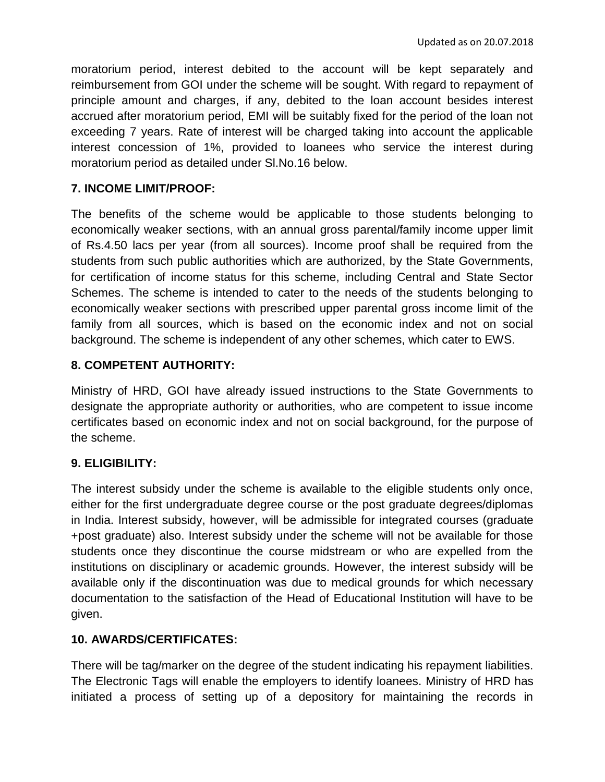moratorium period, interest debited to the account will be kept separately and reimbursement from GOI under the scheme will be sought. With regard to repayment of principle amount and charges, if any, debited to the loan account besides interest accrued after moratorium period, EMI will be suitably fixed for the period of the loan not exceeding 7 years. Rate of interest will be charged taking into account the applicable interest concession of 1%, provided to loanees who service the interest during moratorium period as detailed under Sl.No.16 below.

# **7. INCOME LIMIT/PROOF:**

The benefits of the scheme would be applicable to those students belonging to economically weaker sections, with an annual gross parental/family income upper limit of Rs.4.50 lacs per year (from all sources). Income proof shall be required from the students from such public authorities which are authorized, by the State Governments, for certification of income status for this scheme, including Central and State Sector Schemes. The scheme is intended to cater to the needs of the students belonging to economically weaker sections with prescribed upper parental gross income limit of the family from all sources, which is based on the economic index and not on social background. The scheme is independent of any other schemes, which cater to EWS.

# **8. COMPETENT AUTHORITY:**

Ministry of HRD, GOI have already issued instructions to the State Governments to designate the appropriate authority or authorities, who are competent to issue income certificates based on economic index and not on social background, for the purpose of the scheme.

## **9. ELIGIBILITY:**

The interest subsidy under the scheme is available to the eligible students only once, either for the first undergraduate degree course or the post graduate degrees/diplomas in India. Interest subsidy, however, will be admissible for integrated courses (graduate +post graduate) also. Interest subsidy under the scheme will not be available for those students once they discontinue the course midstream or who are expelled from the institutions on disciplinary or academic grounds. However, the interest subsidy will be available only if the discontinuation was due to medical grounds for which necessary documentation to the satisfaction of the Head of Educational Institution will have to be given.

## **10. AWARDS/CERTIFICATES:**

There will be tag/marker on the degree of the student indicating his repayment liabilities. The Electronic Tags will enable the employers to identify loanees. Ministry of HRD has initiated a process of setting up of a depository for maintaining the records in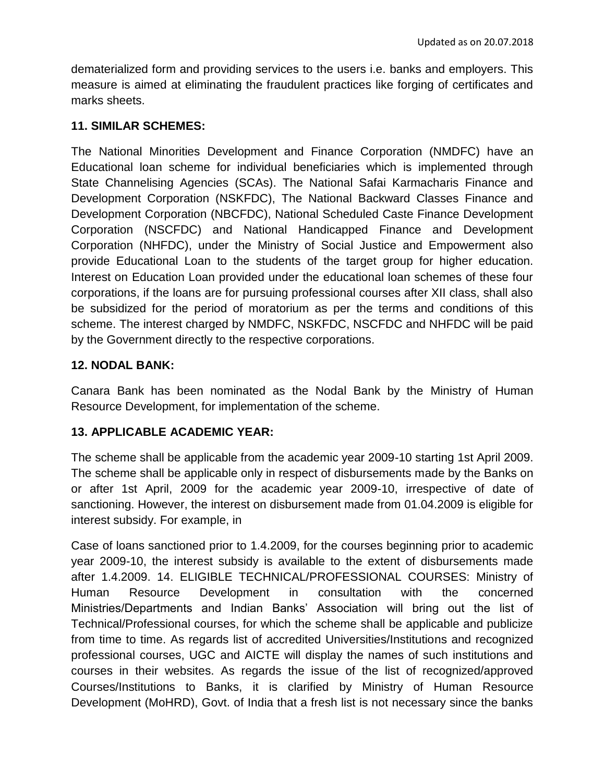dematerialized form and providing services to the users i.e. banks and employers. This measure is aimed at eliminating the fraudulent practices like forging of certificates and marks sheets.

### **11. SIMILAR SCHEMES:**

The National Minorities Development and Finance Corporation (NMDFC) have an Educational loan scheme for individual beneficiaries which is implemented through State Channelising Agencies (SCAs). The National Safai Karmacharis Finance and Development Corporation (NSKFDC), The National Backward Classes Finance and Development Corporation (NBCFDC), National Scheduled Caste Finance Development Corporation (NSCFDC) and National Handicapped Finance and Development Corporation (NHFDC), under the Ministry of Social Justice and Empowerment also provide Educational Loan to the students of the target group for higher education. Interest on Education Loan provided under the educational loan schemes of these four corporations, if the loans are for pursuing professional courses after XII class, shall also be subsidized for the period of moratorium as per the terms and conditions of this scheme. The interest charged by NMDFC, NSKFDC, NSCFDC and NHFDC will be paid by the Government directly to the respective corporations.

### **12. NODAL BANK:**

Canara Bank has been nominated as the Nodal Bank by the Ministry of Human Resource Development, for implementation of the scheme.

## **13. APPLICABLE ACADEMIC YEAR:**

The scheme shall be applicable from the academic year 2009-10 starting 1st April 2009. The scheme shall be applicable only in respect of disbursements made by the Banks on or after 1st April, 2009 for the academic year 2009-10, irrespective of date of sanctioning. However, the interest on disbursement made from 01.04.2009 is eligible for interest subsidy. For example, in

Case of loans sanctioned prior to 1.4.2009, for the courses beginning prior to academic year 2009-10, the interest subsidy is available to the extent of disbursements made after 1.4.2009. 14. ELIGIBLE TECHNICAL/PROFESSIONAL COURSES: Ministry of Human Resource Development in consultation with the concerned Ministries/Departments and Indian Banks' Association will bring out the list of Technical/Professional courses, for which the scheme shall be applicable and publicize from time to time. As regards list of accredited Universities/Institutions and recognized professional courses, UGC and AICTE will display the names of such institutions and courses in their websites. As regards the issue of the list of recognized/approved Courses/Institutions to Banks, it is clarified by Ministry of Human Resource Development (MoHRD), Govt. of India that a fresh list is not necessary since the banks